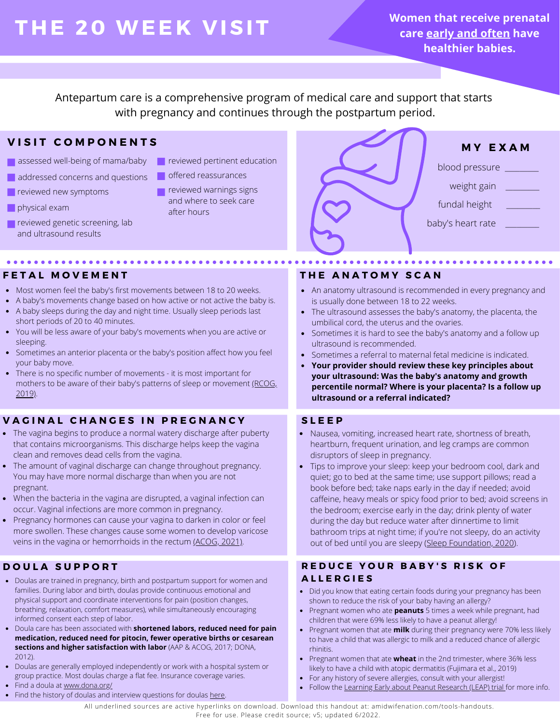# **THE 2 0 WEE K V ISIT**

**Women that receive prenatal care early and often have healthier babies.**

Antepartum care is a comprehensive program of medical care and support that starts with pregnancy and continues through the postpartum period.

# **V I S I T C O M P O N E N T S**

- assessed well-being of mama/baby
- addressed concerns and questions
- **reviewed new symptoms**
- physical exam
- **reviewed genetic screening, lab** and ultrasound results
- **Particle** reviewed pertinent education
- offered reassurances
- reviewed warnings signs and where to seek care after hours



## **F E T A L M O V E M E N T**

- Most women feel the baby's first movements between 18 to 20 weeks.
- A baby's movements change based on how active or not active the baby is.
- A baby sleeps during the day and night time. Usually sleep periods last short periods of 20 to 40 minutes.
- You will be less aware of your baby's movements when you are active or sleeping.
- Sometimes an anterior placenta or the baby's position affect how you feel your baby move.
- There is no specific number of movements it is most important for mothers to be aware of their baby's patterns of sleep or movement [\(RCOG,](https://www.rcog.org.uk/globalassets/documents/patients/patient-information-leaflets/pregnancy/pi-your-babys-movements-in-pregnancy.pdf) [2019\)](https://www.rcog.org.uk/globalassets/documents/patients/patient-information-leaflets/pregnancy/pi-your-babys-movements-in-pregnancy.pdf).

# **V A G I N A L C H A N G E S I N P R E G N A N C Y**

- The vagina begins to produce a normal watery discharge after puberty that contains microorganisms. This discharge helps keep the vagina clean and removes dead cells from the vagina.
- The amount of vaginal discharge can change throughout pregnancy. You may have more normal discharge than when you are not pregnant.
- When the bacteria in the vagina are disrupted, a vaginal infection can occur. Vaginal infections are more common in pregnancy.
- Pregnancy hormones can cause your vagina to darken in color or feel more swollen. These changes cause some women to develop varicose veins in the vagina or hemorrhoids in the rectum [\(ACOG, 2021\).](https://www.acog.org/womens-health/faqs/vulvovaginal-health)

# **D O U L A S U P P O R T**

- Doulas are trained in pregnancy, birth and postpartum support for women and families. During labor and birth, doulas provide continuous emotional and physical support and coordinate interventions for pain (position changes, breathing, relaxation, comfort measures), while simultaneously encouraging informed consent each step of labor.
- Doula care has been associated with **shortened labors, reduced need for pain medication, reduced need for pitocin, fewer operative births or cesarean sections and higher satisfaction with labor** [\(AAP & ACOG, 2017;](https://www.acog.org/clinical-information/physician-faqs/-/media/3a22e153b67446a6b31fb051e469187c.ashx) DONA, 2012).
- Doulas are generally employed independently or work with a hospital system or group practice. Most doulas charge a flat fee. Insurance coverage varies.
- Find a doula at [www.dona.org/](https://www.dona.org/)
- Find the history of doulas and interview questions for doulas [here.](https://www.dona.org/wp-content/uploads/2018/03/DONA-Birth-Position-Paper-FINAL.pdf)

# **T H E A N A T O M Y S C A N**

- An anatomy ultrasound is recommended in every pregnancy and is usually done between 18 to 22 weeks.
- The ultrasound assesses the baby's anatomy, the placenta, the umbilical cord, the uterus and the ovaries.
- Sometimes it is hard to see the baby's anatomy and a follow up ultrasound is recommended.
- Sometimes a referral to maternal fetal medicine is indicated.
- **Your provider should review these key principles about your ultrasound: Was the baby's anatomy and growth percentile normal? Where is your placenta? Is a follow up ultrasound or a referral indicated?**

## **S L E E P**

- Nausea, vomiting, increased heart rate, shortness of breath, heartburn, frequent urination, and leg cramps are common disruptors of sleep in pregnancy.
- Tips to improve your sleep: keep your bedroom cool, dark and quiet; go to bed at the same time; use support pillows; read a book before bed; take naps early in the day if needed; avoid caffeine, heavy meals or spicy food prior to bed; avoid screens in the bedroom; exercise early in the day; drink plenty of water during the day but reduce water after dinnertime to limit bathroom trips at night time; if you're not sleepy, do an activity out of bed until you are sleepy ([Sleep Foundation, 2020](https://www.sleepfoundation.org/pregnancy)).

# **R E D U C E Y O U R B A B Y ' S R I S K O F A L L E R G I E S**

- Did you know that eating certain foods during your pregnancy has been shown to reduce the risk of your baby having an allergy?
- Pregnant women who ate **peanuts** 5 times a week while pregnant, had children that were 69% less likely to have a peanut allergy!
- Pregnant women that ate **milk** during their pregnancy were 70% less likely to have a child that was allergic to milk and a reduced chance of allergic rhinitis.
- Pregnant women that ate **wheat** in the 2nd trimester, where 36% less likely to have a child with atopic dermatitis (Fujimara et al., 2019)
- For any history of severe allergies, consult with your allergist!
- Follow the [Learning Early about Peanut Research \(LEAP\) trial](http://www.leapstudy.co.uk/) for more info.

All underlined sources are active hyperlinks on download. Download this handout at: amidwifenation.com/tools-handouts. Free for use. Please credit source; v5; updated 6/2022.